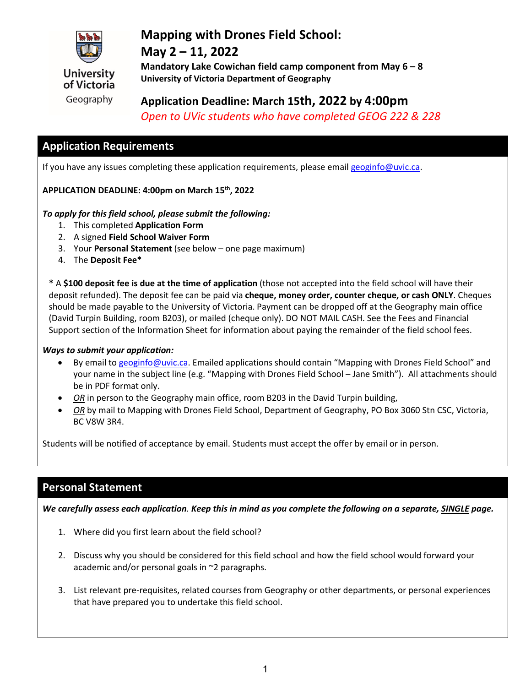

## **Mapping with Drones Field School:**

## **May 2 – 11, 2022**

**Mandatory Lake Cowichan field camp component from May 6 – 8 University of Victoria Department of Geography**

# **Application Deadline: March 15th, 2022 by 4:00pm**

*Open to UVic students who have completed GEOG 222 & 228*

## **Application Requirements**

If you have any issues completing these application requirements, please emai[l geoginfo@uvic.ca.](mailto:geoginfo@uvic.ca)

#### **APPLICATION DEADLINE: 4:00pm on March 15th, 2022**

#### *To apply for this field school, please submit the following:*

- 1. This completed **Application Form**
- 2. A signed **Field School Waiver Form**
- 3. Your **Personal Statement** (see below one page maximum)
- 4. The **Deposit Fee\***

**\*** A **\$100 deposit fee is due at the time of application** (those not accepted into the field school will have their deposit refunded). The deposit fee can be paid via **cheque, money order, counter cheque, or cash ONLY**. Cheques should be made payable to the University of Victoria. Payment can be dropped off at the Geography main office (David Turpin Building, room B203), or mailed (cheque only). DO NOT MAIL CASH. See the Fees and Financial Support section of the Information Sheet for information about paying the remainder of the field school fees.

#### *Ways to submit your application:*

- By email to [geoginfo@uvic.ca.](mailto:geoginfo@uvic.ca) Emailed applications should contain "Mapping with Drones Field School" and your name in the subject line (e.g. "Mapping with Drones Field School – Jane Smith"). All attachments should be in PDF format only.
- *OR* in person to the Geography main office, room B203 in the David Turpin building,
- *OR* by mail to Mapping with Drones Field School, Department of Geography, PO Box 3060 Stn CSC, Victoria, BC V8W 3R4.

Students will be notified of acceptance by email. Students must accept the offer by email or in person.

## **Personal Statement**

*We carefully assess each application. Keep this in mind as you complete the following on a separate, SINGLE page.* 

- 1. Where did you first learn about the field school?
- 2. Discuss why you should be considered for this field school and how the field school would forward your academic and/or personal goals in ~2 paragraphs.
- 3. List relevant pre-requisites, related courses from Geography or other departments, or personal experiences that have prepared you to undertake this field school.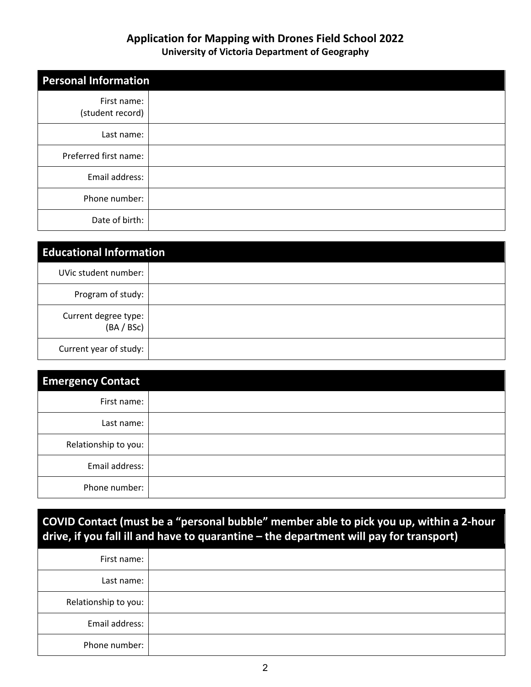#### **Application for Mapping with Drones Field School 2022 University of Victoria Department of Geography**

| <b>Personal Information</b>     |  |
|---------------------------------|--|
| First name:<br>(student record) |  |
| Last name:                      |  |
| Preferred first name:           |  |
| Email address:                  |  |
| Phone number:                   |  |
| Date of birth:                  |  |

| <b>Educational Information</b>     |  |  |
|------------------------------------|--|--|
| UVic student number:               |  |  |
| Program of study:                  |  |  |
| Current degree type:<br>(BA / BSc) |  |  |
| Current year of study:             |  |  |

| <b>Emergency Contact</b> |  |
|--------------------------|--|
| First name:              |  |
| Last name:               |  |
| Relationship to you:     |  |
| Email address:           |  |
| Phone number:            |  |

**COVID Contact (must be a "personal bubble" member able to pick you up, within a 2-hour drive, if you fall ill and have to quarantine – the department will pay for transport)**

| First name:          |  |
|----------------------|--|
|                      |  |
| Last name:           |  |
| Relationship to you: |  |
| Email address:       |  |
| Phone number:        |  |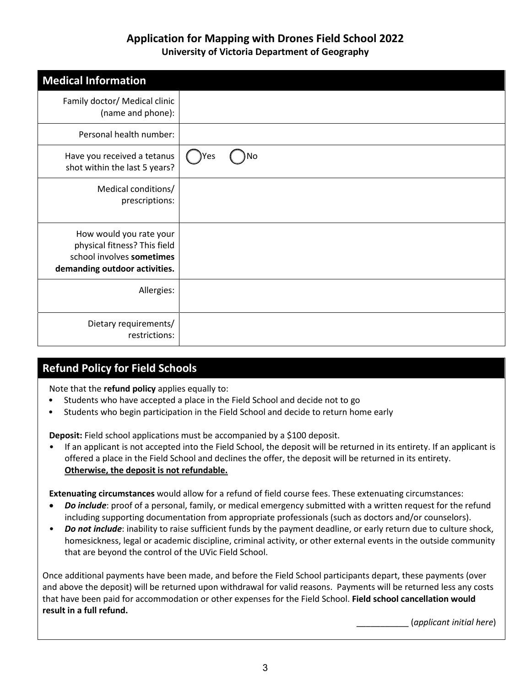#### **Application for Mapping with Drones Field School 2022 University of Victoria Department of Geography**

| <b>Medical Information</b>                                                                                            |            |
|-----------------------------------------------------------------------------------------------------------------------|------------|
| Family doctor/ Medical clinic<br>(name and phone):                                                                    |            |
| Personal health number:                                                                                               |            |
| Have you received a tetanus<br>shot within the last 5 years?                                                          | No<br>)Yes |
| Medical conditions/<br>prescriptions:                                                                                 |            |
| How would you rate your<br>physical fitness? This field<br>school involves sometimes<br>demanding outdoor activities. |            |
| Allergies:                                                                                                            |            |
| Dietary requirements/<br>restrictions:                                                                                |            |

## **Refund Policy for Field Schools**

Note that the **refund policy** applies equally to:

- Students who have accepted a place in the Field School and decide not to go
- Students who begin participation in the Field School and decide to return home early

**Deposit:** Field school applications must be accompanied by a \$100 deposit.

• If an applicant is not accepted into the Field School, the deposit will be returned in its entirety. If an applicant is offered a place in the Field School and declines the offer, the deposit will be returned in its entirety. **Otherwise, the deposit is not refundable.**

**Extenuating circumstances** would allow for a refund of field course fees. These extenuating circumstances:

- *Do include*: proof of a personal, family, or medical emergency submitted with a written request for the refund including supporting documentation from appropriate professionals (such as doctors and/or counselors).
- *Do not include*: inability to raise sufficient funds by the payment deadline, or early return due to culture shock, homesickness, legal or academic discipline, criminal activity, or other external events in the outside community that are beyond the control of the UVic Field School.

Once additional payments have been made, and before the Field School participants depart, these payments (over and above the deposit) will be returned upon withdrawal for valid reasons. Payments will be returned less any costs that have been paid for accommodation or other expenses for the Field School. **Field school cancellation would result in a full refund.**

\_\_\_\_\_\_\_\_\_\_\_ (*applicant initial here*)